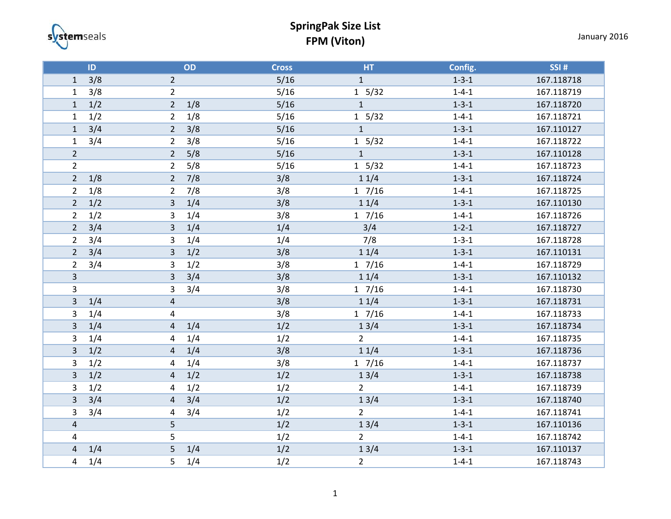systemseals

## **SpringPak Size List FPM (Viton)** January 2016

|                           | ID                    | OD  | <b>Cross</b> | HT             | Config.     | <b>SSI#</b> |
|---------------------------|-----------------------|-----|--------------|----------------|-------------|-------------|
| $\mathbf{1}$              | 3/8<br>$\overline{2}$ |     | 5/16         | $\mathbf{1}$   | $1 - 3 - 1$ | 167.118718  |
| $\mathbf{1}$              | 3/8<br>$\overline{2}$ |     | 5/16         | 1 5/32         | $1 - 4 - 1$ | 167.118719  |
| $\mathbf 1$               | 1/2<br>$\overline{2}$ | 1/8 | $5/16$       | $\mathbf 1$    | $1 - 3 - 1$ | 167.118720  |
| $\mathbf 1$               | 1/2<br>$\overline{2}$ | 1/8 | 5/16         | 1 5/32         | $1 - 4 - 1$ | 167.118721  |
| $\mathbf{1}$              | 3/4<br>$\overline{2}$ | 3/8 | 5/16         | $\mathbf{1}$   | $1 - 3 - 1$ | 167.110127  |
| $\mathbf{1}$              | 3/4<br>$\overline{2}$ | 3/8 | 5/16         | 1 5/32         | $1 - 4 - 1$ | 167.118722  |
| $\overline{2}$            | $\overline{2}$        | 5/8 | 5/16         | $\mathbf{1}$   | $1 - 3 - 1$ | 167.110128  |
| $\overline{2}$            | $\overline{2}$        | 5/8 | 5/16         | 1 5/32         | $1 - 4 - 1$ | 167.118723  |
| $\overline{2}$            | 1/8<br>$\overline{2}$ | 7/8 | 3/8          | 11/4           | $1 - 3 - 1$ | 167.118724  |
| $\overline{2}$            | 1/8<br>$\overline{2}$ | 7/8 | 3/8          | $1 \t7/16$     | $1 - 4 - 1$ | 167.118725  |
| $\mathbf 2$               | 1/2<br>3              | 1/4 | 3/8          | 11/4           | $1 - 3 - 1$ | 167.110130  |
| $\overline{2}$            | 1/2<br>3              | 1/4 | 3/8          | $1 \t7/16$     | $1 - 4 - 1$ | 167.118726  |
| $\mathbf 2$               | 3/4<br>3              | 1/4 | 1/4          | 3/4            | $1 - 2 - 1$ | 167.118727  |
| $\overline{2}$            | 3/4<br>3              | 1/4 | 1/4          | 7/8            | $1 - 3 - 1$ | 167.118728  |
| $\mathbf 2$               | 3/4<br>3              | 1/2 | 3/8          | 11/4           | $1 - 3 - 1$ | 167.110131  |
| $\overline{2}$            | 3/4<br>3              | 1/2 | 3/8          | 17/16          | $1 - 4 - 1$ | 167.118729  |
| $\overline{3}$            | 3                     | 3/4 | 3/8          | 11/4           | $1 - 3 - 1$ | 167.110132  |
| $\mathbf{3}$              | 3                     | 3/4 | 3/8          | 17/16          | $1 - 4 - 1$ | 167.118730  |
| $\mathbf{3}$              | 1/4<br>$\sqrt{4}$     |     | 3/8          | 11/4           | $1 - 3 - 1$ | 167.118731  |
| $\overline{3}$            | 1/4<br>4              |     | 3/8          | $1 \t7/16$     | $1 - 4 - 1$ | 167.118733  |
| $\overline{\mathbf{3}}$   | 1/4<br>$\overline{4}$ | 1/4 | 1/2          | 13/4           | $1 - 3 - 1$ | 167.118734  |
| $\ensuremath{\mathsf{3}}$ | 1/4<br>4              | 1/4 | $1/2$        | $2^{\circ}$    | $1 - 4 - 1$ | 167.118735  |
| $\overline{3}$            | 1/2<br>$\overline{4}$ | 1/4 | 3/8          | 11/4           | $1 - 3 - 1$ | 167.118736  |
| 3                         | 1/2<br>4              | 1/4 | 3/8          | $1 \t7/16$     | $1 - 4 - 1$ | 167.118737  |
| $\overline{3}$            | 1/2<br>$\overline{4}$ | 1/2 | 1/2          | 13/4           | $1 - 3 - 1$ | 167.118738  |
| $\ensuremath{\mathsf{3}}$ | 1/2<br>4              | 1/2 | 1/2          | $\overline{2}$ | $1 - 4 - 1$ | 167.118739  |
| $\mathsf 3$               | 3/4<br>$\overline{4}$ | 3/4 | 1/2          | 13/4           | $1 - 3 - 1$ | 167.118740  |
| $\mathsf 3$               | 3/4<br>4              | 3/4 | 1/2          | $\overline{2}$ | $1 - 4 - 1$ | 167.118741  |
| $\pmb{4}$                 | 5                     |     | 1/2          | 13/4           | $1 - 3 - 1$ | 167.110136  |
| $\pmb{4}$                 | 5                     |     | 1/2          | $\overline{2}$ | $1 - 4 - 1$ | 167.118742  |
| $\overline{a}$            | 1/4<br>5              | 1/4 | 1/2          | 13/4           | $1 - 3 - 1$ | 167.110137  |
| $\overline{4}$            | 1/4<br>5              | 1/4 | 1/2          | $\overline{2}$ | $1 - 4 - 1$ | 167.118743  |